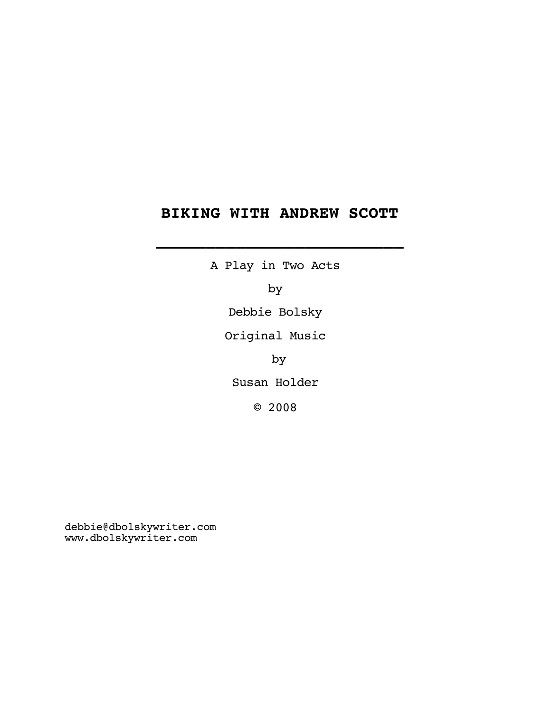## **BIKING WITH ANDREW SCOTT**

 **\_\_\_\_\_\_\_\_\_\_\_\_\_\_\_\_\_\_\_\_\_\_\_\_\_**

A Play in Two Acts by Debbie Bolsky Original Music by Susan Holder © 2008

debbie@dbolskywriter.com www.dbolskywriter.com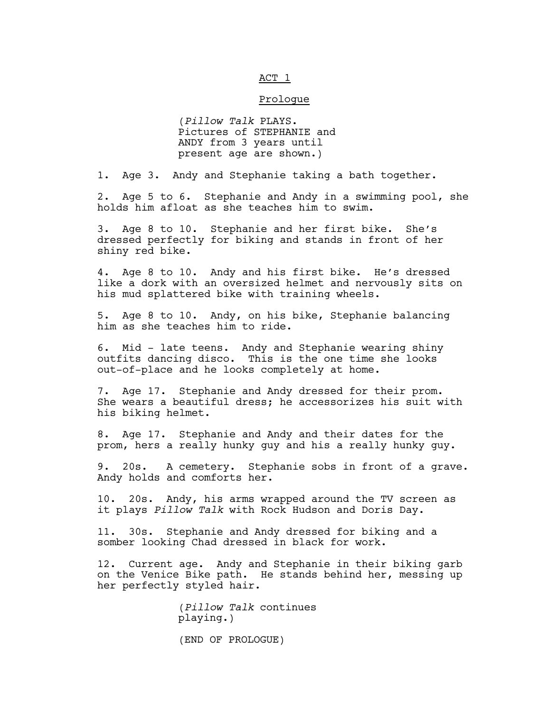## ACT 1

## Prologue

(*Pillow Talk* PLAYS. Pictures of STEPHANIE and ANDY from 3 years until present age are shown.)

1. Age 3. Andy and Stephanie taking a bath together.

2. Age 5 to 6. Stephanie and Andy in a swimming pool, she holds him afloat as she teaches him to swim.

3. Age 8 to 10. Stephanie and her first bike. She's dressed perfectly for biking and stands in front of her shiny red bike.

4. Age 8 to 10. Andy and his first bike. He's dressed like a dork with an oversized helmet and nervously sits on his mud splattered bike with training wheels.

5. Age 8 to 10. Andy, on his bike, Stephanie balancing him as she teaches him to ride.

6. Mid - late teens. Andy and Stephanie wearing shiny outfits dancing disco. This is the one time she looks out-of-place and he looks completely at home.

7. Age 17. Stephanie and Andy dressed for their prom. She wears a beautiful dress; he accessorizes his suit with his biking helmet.

8. Age 17. Stephanie and Andy and their dates for the prom, hers a really hunky guy and his a really hunky guy.

9. 20s. A cemetery. Stephanie sobs in front of a grave. Andy holds and comforts her.

10. 20s. Andy, his arms wrapped around the TV screen as it plays *Pillow Talk* with Rock Hudson and Doris Day.

11. 30s. Stephanie and Andy dressed for biking and a somber looking Chad dressed in black for work.

12. Current age. Andy and Stephanie in their biking garb on the Venice Bike path. He stands behind her, messing up her perfectly styled hair.

> (*Pillow Talk* continues playing.)

(END OF PROLOGUE)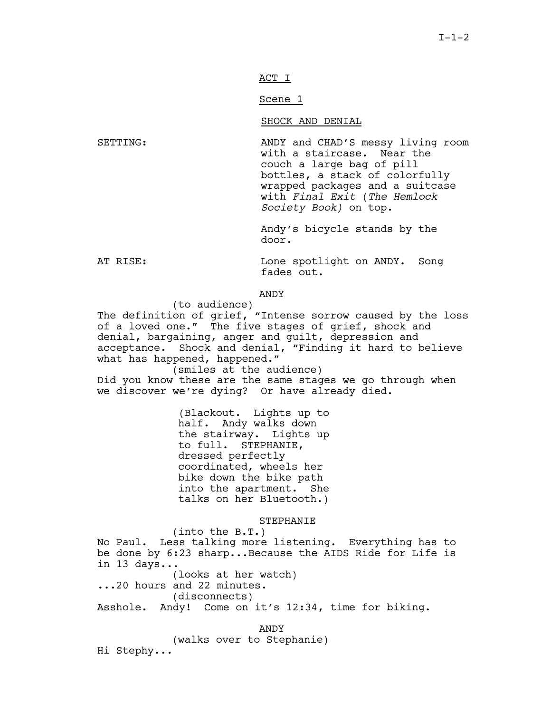ACT I

Scene 1

SHOCK AND DENIAL

SETTING: ANDY and CHAD'S messy living room with a staircase. Near the couch a large bag of pill bottles, a stack of colorfully wrapped packages and a suitcase with *Final Exit* (*The Hemlock Society Book)* on top.

> Andy's bicycle stands by the door.

AT RISE: Lone spotlight on ANDY. Song fades out.

ANDY

(to audience) The definition of grief, "Intense sorrow caused by the loss of a loved one." The five stages of grief, shock and denial, bargaining, anger and guilt, depression and acceptance. Shock and denial, "Finding it hard to believe what has happened, happened."

(smiles at the audience) Did you know these are the same stages we go through when we discover we're dying? Or have already died.

> (Blackout. Lights up to half. Andy walks down the stairway. Lights up to full. STEPHANIE, dressed perfectly coordinated, wheels her bike down the bike path into the apartment. She talks on her Bluetooth.)

> > STEPHANIE

(into the B.T.) No Paul. Less talking more listening. Everything has to be done by 6:23 sharp...Because the AIDS Ride for Life is in 13 days... (looks at her watch)

...20 hours and 22 minutes. (disconnects) Asshole. Andy! Come on it's 12:34, time for biking.

ANDY

(walks over to Stephanie)

Hi Stephy...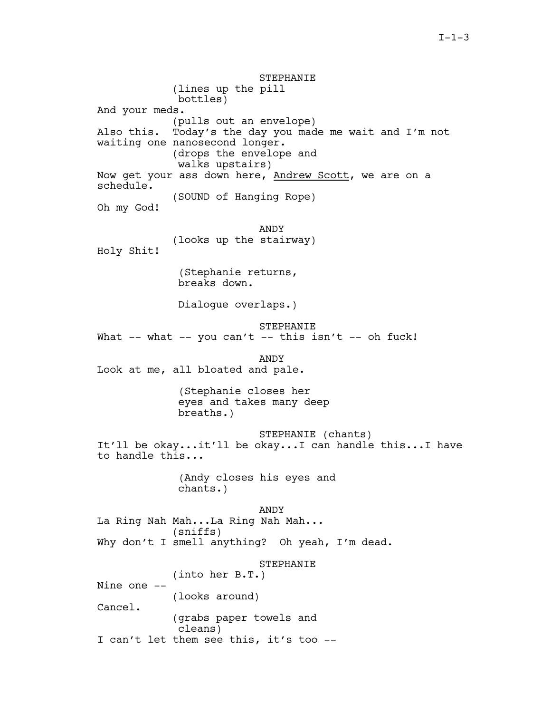STEPHANIE (lines up the pill bottles) And your meds. (pulls out an envelope) Also this. Today's the day you made me wait and I'm not waiting one nanosecond longer. (drops the envelope and walks upstairs) Now get your ass down here, Andrew Scott, we are on a schedule. (SOUND of Hanging Rope) Oh my God! ANDY (looks up the stairway) Holy Shit! (Stephanie returns, breaks down. Dialogue overlaps.) STEPHANIE What  $--$  what  $--$  you can't  $--$  this isn't  $--$  oh fuck! ANDY Look at me, all bloated and pale. (Stephanie closes her eyes and takes many deep breaths.) STEPHANIE (chants) It'll be okay...it'll be okay...I can handle this...I have to handle this... (Andy closes his eyes and chants.) ANDY La Ring Nah Mah...La Ring Nah Mah... (sniffs) Why don't I smell anything? Oh yeah, I'm dead. STEPHANIE (into her B.T.) Nine one -- (looks around) Cancel. (grabs paper towels and cleans) I can't let them see this, it's too --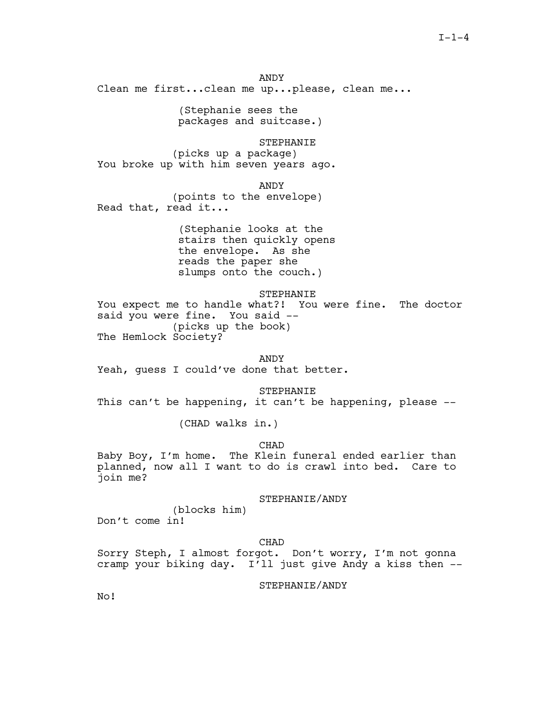ANDY Clean me first...clean me up...please, clean me...

> (Stephanie sees the packages and suitcase.)

STEPHANIE (picks up a package) You broke up with him seven years ago.

ANDY

(points to the envelope) Read that, read it...

> (Stephanie looks at the stairs then quickly opens the envelope. As she reads the paper she slumps onto the couch.)

> > STEPHANIE

You expect me to handle what?! You were fine. The doctor said you were fine. You said -- (picks up the book) The Hemlock Society?

ANDY

Yeah, guess I could've done that better.

STEPHANIE

This can't be happening, it can't be happening, please  $-$ -

(CHAD walks in.)

CHAD

Baby Boy, I'm home. The Klein funeral ended earlier than planned, now all I want to do is crawl into bed. Care to join me?

STEPHANIE/ANDY

(blocks him) Don't come in!

CHAD

Sorry Steph, I almost forgot. Don't worry, I'm not gonna cramp your biking day. I'll just give Andy a kiss then --

STEPHANIE/ANDY

No!